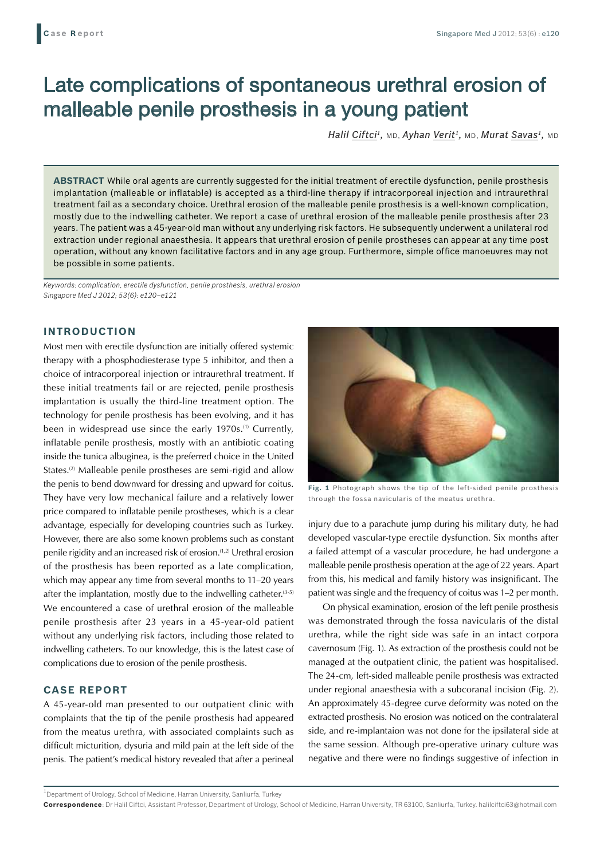# Late complications of spontaneous urethral erosion of malleable penile prosthesis in a young patient

*Halil Ciftci1,* MD, *Ayhan Verit1,* MD, *Murat Savas1,* MD

**ABSTRACT** While oral agents are currently suggested for the initial treatment of erectile dysfunction, penile prosthesis implantation (malleable or inflatable) is accepted as a third-line therapy if intracorporeal injection and intraurethral treatment fail as a secondary choice. Urethral erosion of the malleable penile prosthesis is a well-known complication, mostly due to the indwelling catheter. We report a case of urethral erosion of the malleable penile prosthesis after 23 years. The patient was a 45-year-old man without any underlying risk factors. He subsequently underwent a unilateral rod extraction under regional anaesthesia. It appears that urethral erosion of penile prostheses can appear at any time post operation, without any known facilitative factors and in any age group. Furthermore, simple office manoeuvres may not be possible in some patients.

*Keywords: complication, erectile dysfunction, penile prosthesis, urethral erosion Singapore Med J 2012; 53(6): e120–e121*

## **INTRODUCTION**

Most men with erectile dysfunction are initially offered systemic therapy with a phosphodiesterase type 5 inhibitor, and then a choice of intracorporeal injection or intraurethral treatment. If these initial treatments fail or are rejected, penile prosthesis implantation is usually the third-line treatment option. The technology for penile prosthesis has been evolving, and it has been in widespread use since the early 1970s.<sup>(1)</sup> Currently, inflatable penile prosthesis, mostly with an antibiotic coating inside the tunica albuginea, is the preferred choice in the United States.<sup>(2)</sup> Malleable penile prostheses are semi-rigid and allow the penis to bend downward for dressing and upward for coitus. They have very low mechanical failure and a relatively lower price compared to inflatable penile prostheses, which is a clear advantage, especially for developing countries such as Turkey. However, there are also some known problems such as constant penile rigidity and an increased risk of erosion.(1,2) Urethral erosion of the prosthesis has been reported as a late complication, which may appear any time from several months to 11–20 years after the implantation, mostly due to the indwelling catheter. $(3-5)$ We encountered a case of urethral erosion of the malleable penile prosthesis after 23 years in a 45-year-old patient without any underlying risk factors, including those related to indwelling catheters. To our knowledge, this is the latest case of complications due to erosion of the penile prosthesis.

## **CASE REPORT**

A 45-year-old man presented to our outpatient clinic with complaints that the tip of the penile prosthesis had appeared from the meatus urethra, with associated complaints such as difficult micturition, dysuria and mild pain at the left side of the penis. The patient's medical history revealed that after a perineal



**Fig. 1** Photograph shows the tip of the left-sided penile prosthesis through the fossa navicularis of the meatus urethra.

injury due to a parachute jump during his military duty, he had developed vascular-type erectile dysfunction. Six months after a failed attempt of a vascular procedure, he had undergone a malleable penile prosthesis operation at the age of 22 years. Apart from this, his medical and family history was insignificant. The patient was single and the frequency of coitus was 1–2 per month.

On physical examination, erosion of the left penile prosthesis was demonstrated through the fossa navicularis of the distal urethra, while the right side was safe in an intact corpora cavernosum (Fig. 1). As extraction of the prosthesis could not be managed at the outpatient clinic, the patient was hospitalised. The 24-cm, left-sided malleable penile prosthesis was extracted under regional anaesthesia with a subcoranal incision (Fig. 2). An approximately 45-degree curve deformity was noted on the extracted prosthesis. No erosion was noticed on the contralateral side, and re-implantaion was not done for the ipsilateral side at the same session. Although pre-operative urinary culture was negative and there were no findings suggestive of infection in

 $^{\rm 1}$ Department of Urology, School of Medicine, Harran University, Sanliurfa, Turkey

**Correspondence**: Dr Halil Ciftci, Assistant Professor, Department of Urology, School of Medicine, Harran University, TR 63100, Sanliurfa, Turkey. halilciftci63@hotmail.com